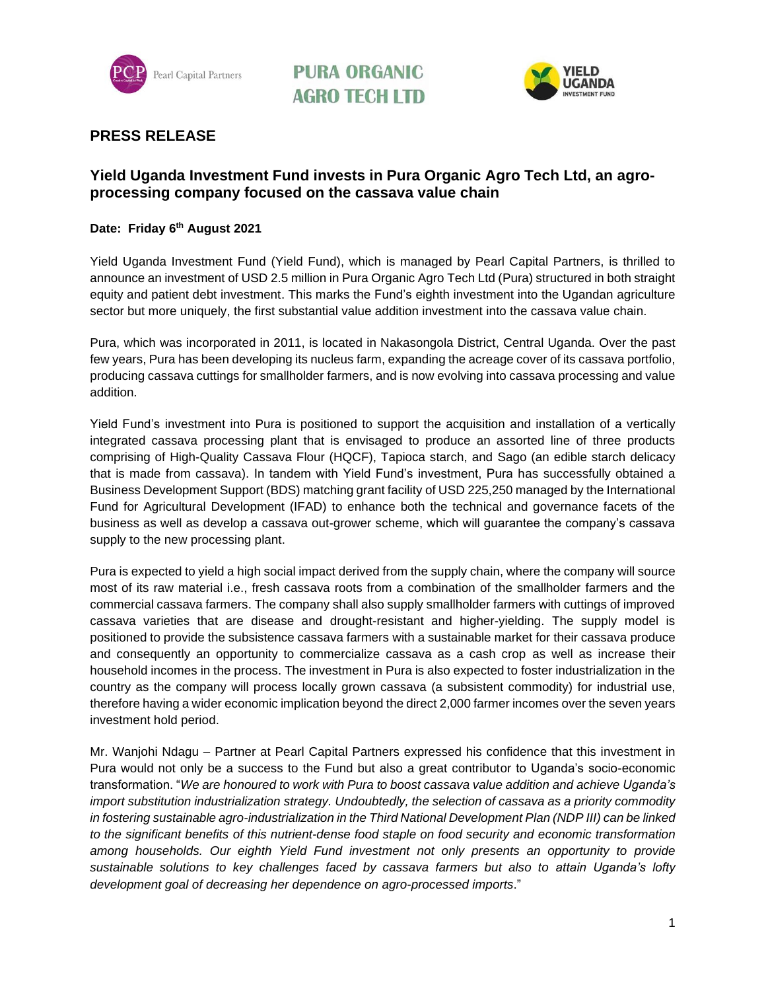





### **PRESS RELEASE**

#### **Yield Uganda Investment Fund invests in Pura Organic Agro Tech Ltd, an agroprocessing company focused on the cassava value chain**

#### **Date: Friday 6th August 2021**

Yield Uganda Investment Fund (Yield Fund), which is managed by Pearl Capital Partners, is thrilled to announce an investment of USD 2.5 million in Pura Organic Agro Tech Ltd (Pura) structured in both straight equity and patient debt investment. This marks the Fund's eighth investment into the Ugandan agriculture sector but more uniquely, the first substantial value addition investment into the cassava value chain.

Pura, which was incorporated in 2011, is located in Nakasongola District, Central Uganda. Over the past few years, Pura has been developing its nucleus farm, expanding the acreage cover of its cassava portfolio, producing cassava cuttings for smallholder farmers, and is now evolving into cassava processing and value addition.

Yield Fund's investment into Pura is positioned to support the acquisition and installation of a vertically integrated cassava processing plant that is envisaged to produce an assorted line of three products comprising of High-Quality Cassava Flour (HQCF), Tapioca starch, and Sago (an edible starch delicacy that is made from cassava). In tandem with Yield Fund's investment, Pura has successfully obtained a Business Development Support (BDS) matching grant facility of USD 225,250 managed by the International Fund for Agricultural Development (IFAD) to enhance both the technical and governance facets of the business as well as develop a cassava out-grower scheme, which will guarantee the company's cassava supply to the new processing plant.

Pura is expected to yield a high social impact derived from the supply chain, where the company will source most of its raw material i.e., fresh cassava roots from a combination of the smallholder farmers and the commercial cassava farmers. The company shall also supply smallholder farmers with cuttings of improved cassava varieties that are disease and drought-resistant and higher-yielding. The supply model is positioned to provide the subsistence cassava farmers with a sustainable market for their cassava produce and consequently an opportunity to commercialize cassava as a cash crop as well as increase their household incomes in the process. The investment in Pura is also expected to foster industrialization in the country as the company will process locally grown cassava (a subsistent commodity) for industrial use, therefore having a wider economic implication beyond the direct 2,000 farmer incomes over the seven years investment hold period.

Mr. Wanjohi Ndagu – Partner at Pearl Capital Partners expressed his confidence that this investment in Pura would not only be a success to the Fund but also a great contributor to Uganda's socio-economic transformation. "*We are honoured to work with Pura to boost cassava value addition and achieve Uganda's import substitution industrialization strategy. Undoubtedly, the selection of cassava as a priority commodity in fostering sustainable agro-industrialization in the Third National Development Plan (NDP III) can be linked to the significant benefits of this nutrient-dense food staple on food security and economic transformation among households. Our eighth Yield Fund investment not only presents an opportunity to provide sustainable solutions to key challenges faced by cassava farmers but also to attain Uganda's lofty development goal of decreasing her dependence on agro-processed imports*."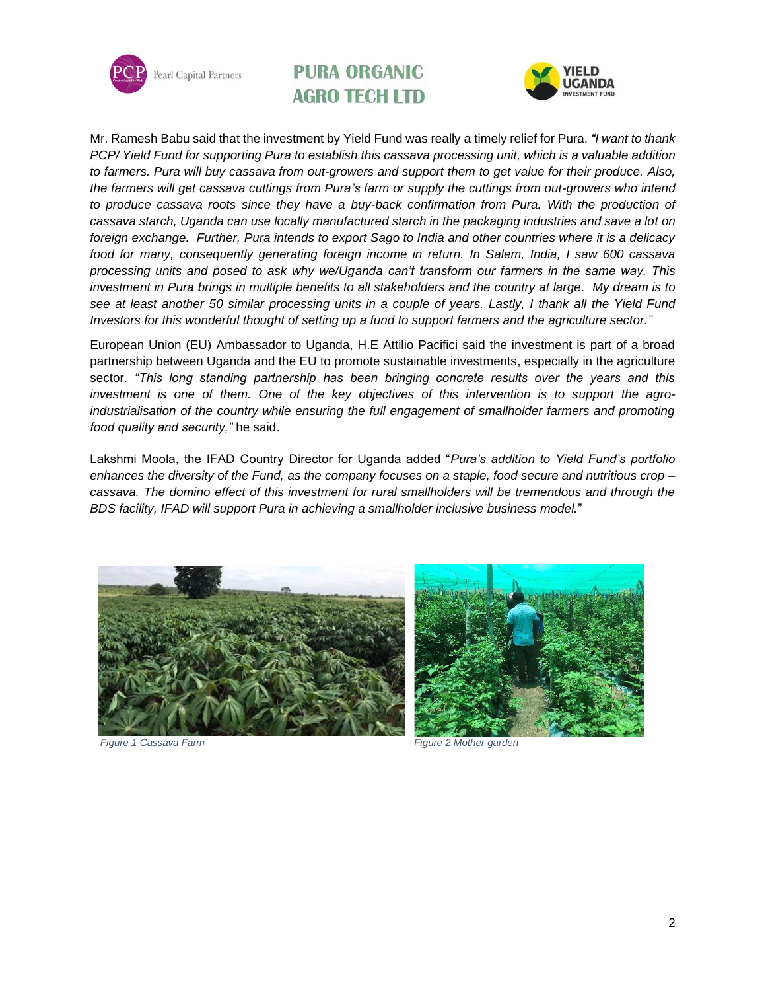

# **PURA ORGANIC AGRO TECH LTD**



Mr. Ramesh Babu said that the investment by Yield Fund was really a timely relief for Pura. *"I want to thank PCP/ Yield Fund for supporting Pura to establish this cassava processing unit, which is a valuable addition to farmers. Pura will buy cassava from out-growers and support them to get value for their produce. Also, the farmers will get cassava cuttings from Pura's farm or supply the cuttings from out-growers who intend to produce cassava roots since they have a buy-back confirmation from Pura. With the production of cassava starch, Uganda can use locally manufactured starch in the packaging industries and save a lot on foreign exchange. Further, Pura intends to export Sago to India and other countries where it is a delicacy food for many, consequently generating foreign income in return. In Salem, India, I saw 600 cassava processing units and posed to ask why we/Uganda can't transform our farmers in the same way. This investment in Pura brings in multiple benefits to all stakeholders and the country at large. My dream is to see at least another 50 similar processing units in a couple of years. Lastly, I thank all the Yield Fund Investors for this wonderful thought of setting up a fund to support farmers and the agriculture sector."* 

European Union (EU) Ambassador to Uganda, H.E Attilio Pacifici said the investment is part of a broad partnership between Uganda and the EU to promote sustainable investments, especially in the agriculture sector. *"This long standing partnership has been bringing concrete results over the years and this investment is one of them. One of the key objectives of this intervention is to support the agroindustrialisation of the country while ensuring the full engagement of smallholder farmers and promoting food quality and security,"* he said.

Lakshmi Moola, the IFAD Country Director for Uganda added "*Pura's addition to Yield Fund's portfolio enhances the diversity of the Fund, as the company focuses on a staple, food secure and nutritious crop – cassava. The domino effect of this investment for rural smallholders will be tremendous and through the BDS facility, IFAD will support Pura in achieving a smallholder inclusive business model.*"





 *Figure 1 Cassava Farm Figure 2 Mother garden*